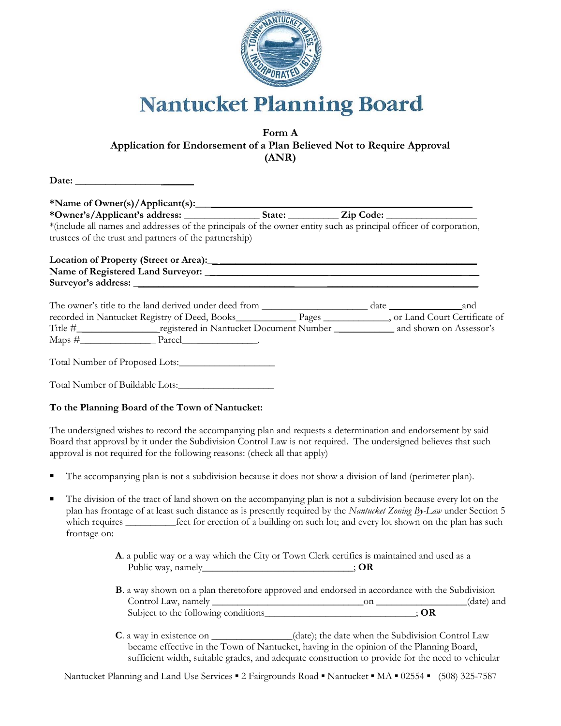

## **Nantucket Planning Board**

## **Form A Application for Endorsement of a Plan Believed Not to Require Approval (ANR)**

| *(include all names and addresses of the principals of the owner entity such as principal officer of corporation, |  |  |
|-------------------------------------------------------------------------------------------------------------------|--|--|
| trustees of the trust and partners of the partnership)                                                            |  |  |
|                                                                                                                   |  |  |
|                                                                                                                   |  |  |
|                                                                                                                   |  |  |
|                                                                                                                   |  |  |
| recorded in Nantucket Registry of Deed, Books__________________________________, or Land Court Certificate of     |  |  |
|                                                                                                                   |  |  |
|                                                                                                                   |  |  |
| Total Number of Proposed Lots:                                                                                    |  |  |
| Total Number of Buildable Lots:                                                                                   |  |  |

## **To the Planning Board of the Town of Nantucket:**

The undersigned wishes to record the accompanying plan and requests a determination and endorsement by said Board that approval by it under the Subdivision Control Law is not required. The undersigned believes that such approval is not required for the following reasons: (check all that apply)

- The accompanying plan is not a subdivision because it does not show a division of land (perimeter plan).
- The division of the tract of land shown on the accompanying plan is not a subdivision because every lot on the plan has frontage of at least such distance as is presently required by the *Nantucket Zoning By-Law* under Section 5 which requires <u>equires feet</u> for erection of a building on such lot; and every lot shown on the plan has such frontage on:
	- **A**. a public way or a way which the City or Town Clerk certifies is maintained and used as a Public way, namely\_\_\_\_\_\_\_\_\_\_\_\_\_\_\_\_\_\_\_\_\_\_\_\_\_\_\_\_; **OR**
	- **B**. a way shown on a plan theretofore approved and endorsed in accordance with the Subdivision Control Law, namely \_\_\_\_\_\_\_\_\_\_\_\_\_\_\_\_\_\_\_\_\_\_\_\_\_\_\_\_\_\_on \_\_\_\_\_\_\_\_\_\_\_\_\_\_\_\_\_\_(date) and Subject to the following conditions\_\_\_\_\_\_\_\_\_\_\_\_\_\_\_\_\_\_\_\_\_\_\_\_; **OR**
	- **C**. a way in existence on \_\_\_\_\_\_\_\_\_\_\_(date); the date when the Subdivision Control Law became effective in the Town of Nantucket, having in the opinion of the Planning Board, sufficient width, suitable grades, and adequate construction to provide for the need to vehicular

Nantucket Planning and Land Use Services ■ 2 Fairgrounds Road ■ Nantucket ■ MA ■ 02554 ■ (508) 325-7587